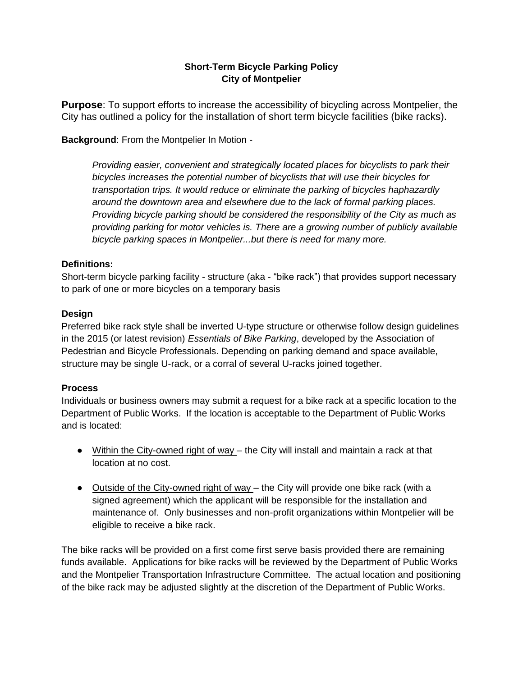## **Short-Term Bicycle Parking Policy City of Montpelier**

**Purpose**: To support efforts to increase the accessibility of bicycling across Montpelier, the City has outlined a policy for the installation of short term bicycle facilities (bike racks).

**Background**: From the Montpelier In Motion -

*Providing easier, convenient and strategically located places for bicyclists to park their bicycles increases the potential number of bicyclists that will use their bicycles for transportation trips. It would reduce or eliminate the parking of bicycles haphazardly around the downtown area and elsewhere due to the lack of formal parking places. Providing bicycle parking should be considered the responsibility of the City as much as providing parking for motor vehicles is. There are a growing number of publicly available bicycle parking spaces in Montpelier...but there is need for many more.* 

### **Definitions:**

Short-term bicycle parking facility - structure (aka - "bike rack") that provides support necessary to park of one or more bicycles on a temporary basis

#### **Design**

Preferred bike rack style shall be inverted U-type structure or otherwise follow design guidelines in the 2015 (or latest revision) *Essentials of Bike Parking*, developed by the Association of Pedestrian and Bicycle Professionals. Depending on parking demand and space available, structure may be single U-rack, or a corral of several U-racks joined together.

#### **Process**

Individuals or business owners may submit a request for a bike rack at a specific location to the Department of Public Works. If the location is acceptable to the Department of Public Works and is located:

- Within the City-owned right of way the City will install and maintain a rack at that location at no cost.
- Outside of the City-owned right of way the City will provide one bike rack (with a signed agreement) which the applicant will be responsible for the installation and maintenance of. Only businesses and non-profit organizations within Montpelier will be eligible to receive a bike rack.

The bike racks will be provided on a first come first serve basis provided there are remaining funds available. Applications for bike racks will be reviewed by the Department of Public Works and the Montpelier Transportation Infrastructure Committee. The actual location and positioning of the bike rack may be adjusted slightly at the discretion of the Department of Public Works.